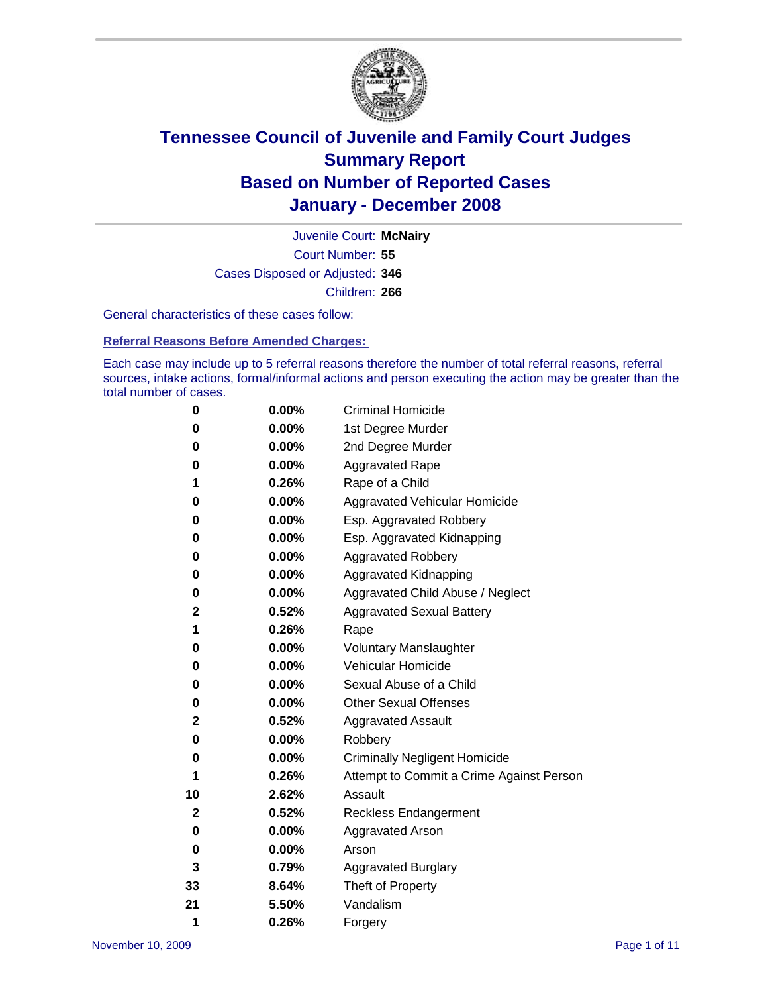

Court Number: **55** Juvenile Court: **McNairy** Cases Disposed or Adjusted: **346** Children: **266**

General characteristics of these cases follow:

**Referral Reasons Before Amended Charges:** 

Each case may include up to 5 referral reasons therefore the number of total referral reasons, referral sources, intake actions, formal/informal actions and person executing the action may be greater than the total number of cases.

| 0  | 0.00%    | <b>Criminal Homicide</b>                 |  |  |  |  |
|----|----------|------------------------------------------|--|--|--|--|
| 0  | 0.00%    | 1st Degree Murder                        |  |  |  |  |
| 0  | $0.00\%$ | 2nd Degree Murder                        |  |  |  |  |
| 0  | 0.00%    | <b>Aggravated Rape</b>                   |  |  |  |  |
| 1  | 0.26%    | Rape of a Child                          |  |  |  |  |
| 0  | 0.00%    | Aggravated Vehicular Homicide            |  |  |  |  |
| 0  | 0.00%    | Esp. Aggravated Robbery                  |  |  |  |  |
| 0  | 0.00%    | Esp. Aggravated Kidnapping               |  |  |  |  |
| 0  | 0.00%    | <b>Aggravated Robbery</b>                |  |  |  |  |
| 0  | $0.00\%$ | Aggravated Kidnapping                    |  |  |  |  |
| 0  | 0.00%    | Aggravated Child Abuse / Neglect         |  |  |  |  |
| 2  | 0.52%    | <b>Aggravated Sexual Battery</b>         |  |  |  |  |
| 1  | 0.26%    | Rape                                     |  |  |  |  |
| 0  | 0.00%    | <b>Voluntary Manslaughter</b>            |  |  |  |  |
| 0  | 0.00%    | Vehicular Homicide                       |  |  |  |  |
| 0  | 0.00%    | Sexual Abuse of a Child                  |  |  |  |  |
| 0  | $0.00\%$ | <b>Other Sexual Offenses</b>             |  |  |  |  |
| 2  | 0.52%    | <b>Aggravated Assault</b>                |  |  |  |  |
| 0  | $0.00\%$ | Robbery                                  |  |  |  |  |
| 0  | 0.00%    | <b>Criminally Negligent Homicide</b>     |  |  |  |  |
| 1  | 0.26%    | Attempt to Commit a Crime Against Person |  |  |  |  |
| 10 | 2.62%    | Assault                                  |  |  |  |  |
| 2  | 0.52%    | <b>Reckless Endangerment</b>             |  |  |  |  |
| 0  | 0.00%    | Aggravated Arson                         |  |  |  |  |
| 0  | 0.00%    | Arson                                    |  |  |  |  |
| 3  | 0.79%    | <b>Aggravated Burglary</b>               |  |  |  |  |
| 33 | 8.64%    | Theft of Property                        |  |  |  |  |
| 21 | 5.50%    | Vandalism                                |  |  |  |  |
| 1  | 0.26%    | Forgery                                  |  |  |  |  |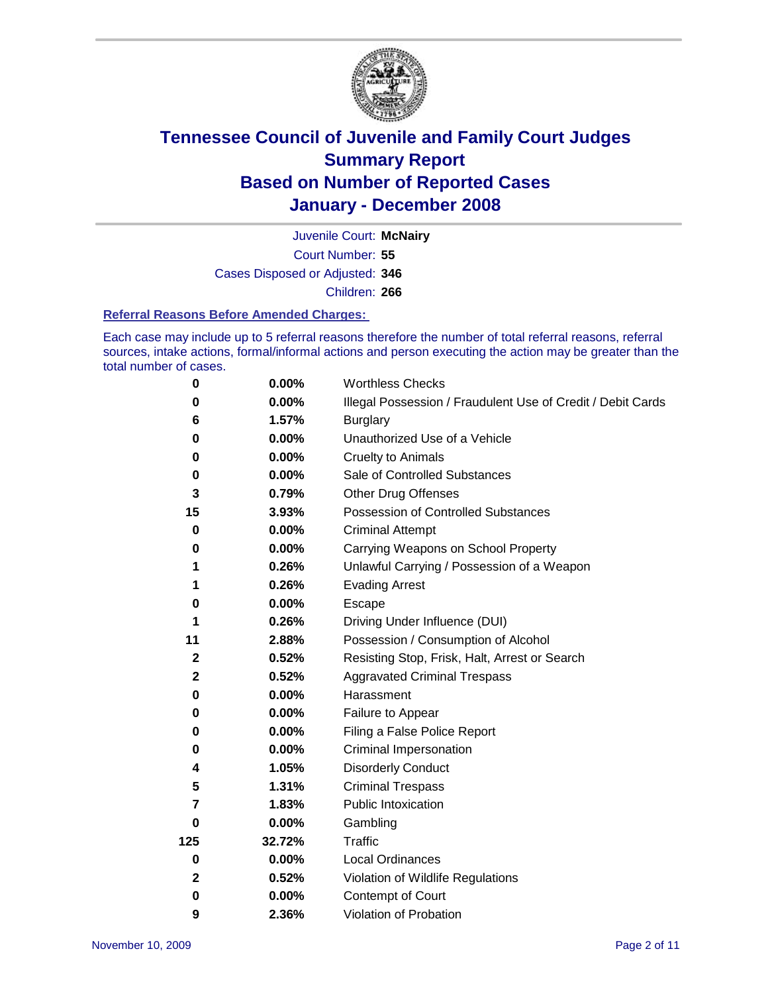

Court Number: **55** Juvenile Court: **McNairy** Cases Disposed or Adjusted: **346** Children: **266**

#### **Referral Reasons Before Amended Charges:**

Each case may include up to 5 referral reasons therefore the number of total referral reasons, referral sources, intake actions, formal/informal actions and person executing the action may be greater than the total number of cases.

| 0            | 0.00%    | <b>Worthless Checks</b>                                     |  |  |  |
|--------------|----------|-------------------------------------------------------------|--|--|--|
| 0            | 0.00%    | Illegal Possession / Fraudulent Use of Credit / Debit Cards |  |  |  |
| 6            | 1.57%    | <b>Burglary</b>                                             |  |  |  |
| 0            | $0.00\%$ | Unauthorized Use of a Vehicle                               |  |  |  |
| 0            | $0.00\%$ | <b>Cruelty to Animals</b>                                   |  |  |  |
| 0            | $0.00\%$ | Sale of Controlled Substances                               |  |  |  |
| 3            | 0.79%    | <b>Other Drug Offenses</b>                                  |  |  |  |
| 15           | 3.93%    | Possession of Controlled Substances                         |  |  |  |
| 0            | $0.00\%$ | <b>Criminal Attempt</b>                                     |  |  |  |
| 0            | 0.00%    | Carrying Weapons on School Property                         |  |  |  |
| 1            | 0.26%    | Unlawful Carrying / Possession of a Weapon                  |  |  |  |
| 1            | 0.26%    | <b>Evading Arrest</b>                                       |  |  |  |
| 0            | 0.00%    | Escape                                                      |  |  |  |
| 1            | 0.26%    | Driving Under Influence (DUI)                               |  |  |  |
| 11           | 2.88%    | Possession / Consumption of Alcohol                         |  |  |  |
| $\mathbf{2}$ | 0.52%    | Resisting Stop, Frisk, Halt, Arrest or Search               |  |  |  |
| $\mathbf 2$  | 0.52%    | <b>Aggravated Criminal Trespass</b>                         |  |  |  |
| 0            | 0.00%    | Harassment                                                  |  |  |  |
| 0            | $0.00\%$ | Failure to Appear                                           |  |  |  |
| 0            | 0.00%    | Filing a False Police Report                                |  |  |  |
| 0            | $0.00\%$ | Criminal Impersonation                                      |  |  |  |
| 4            | 1.05%    | <b>Disorderly Conduct</b>                                   |  |  |  |
| 5            | 1.31%    | <b>Criminal Trespass</b>                                    |  |  |  |
| 7            | 1.83%    | Public Intoxication                                         |  |  |  |
| 0            | $0.00\%$ | Gambling                                                    |  |  |  |
| 125          | 32.72%   | Traffic                                                     |  |  |  |
| 0            | $0.00\%$ | Local Ordinances                                            |  |  |  |
| $\mathbf 2$  | 0.52%    | Violation of Wildlife Regulations                           |  |  |  |
| $\bf{0}$     | $0.00\%$ | Contempt of Court                                           |  |  |  |
| 9            | 2.36%    | Violation of Probation                                      |  |  |  |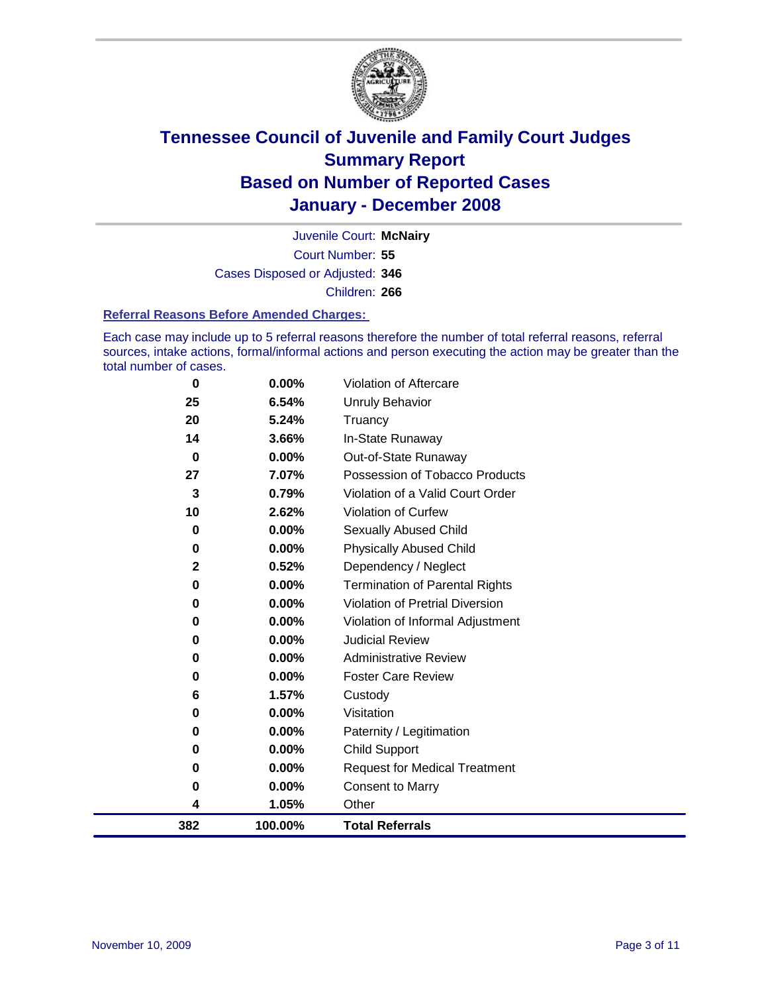

Court Number: **55** Juvenile Court: **McNairy** Cases Disposed or Adjusted: **346** Children: **266**

#### **Referral Reasons Before Amended Charges:**

Each case may include up to 5 referral reasons therefore the number of total referral reasons, referral sources, intake actions, formal/informal actions and person executing the action may be greater than the total number of cases.

| 0           | 0.00%   | Violation of Aftercare                 |
|-------------|---------|----------------------------------------|
| 25          | 6.54%   | <b>Unruly Behavior</b>                 |
| 20          | 5.24%   | Truancy                                |
| 14          | 3.66%   | In-State Runaway                       |
| $\bf{0}$    | 0.00%   | Out-of-State Runaway                   |
| 27          | 7.07%   | Possession of Tobacco Products         |
| 3           | 0.79%   | Violation of a Valid Court Order       |
| 10          | 2.62%   | Violation of Curfew                    |
| 0           | 0.00%   | Sexually Abused Child                  |
| 0           | 0.00%   | <b>Physically Abused Child</b>         |
| $\mathbf 2$ | 0.52%   | Dependency / Neglect                   |
| 0           | 0.00%   | <b>Termination of Parental Rights</b>  |
| 0           | 0.00%   | <b>Violation of Pretrial Diversion</b> |
| 0           | 0.00%   | Violation of Informal Adjustment       |
| 0           | 0.00%   | <b>Judicial Review</b>                 |
| 0           | 0.00%   | <b>Administrative Review</b>           |
| 0           | 0.00%   | <b>Foster Care Review</b>              |
| 6           | 1.57%   | Custody                                |
| 0           | 0.00%   | Visitation                             |
| 0           | 0.00%   | Paternity / Legitimation               |
| 0           | 0.00%   | <b>Child Support</b>                   |
| 0           | 0.00%   | <b>Request for Medical Treatment</b>   |
| 0           | 0.00%   | <b>Consent to Marry</b>                |
| 4           | 1.05%   | Other                                  |
| 382         | 100.00% | <b>Total Referrals</b>                 |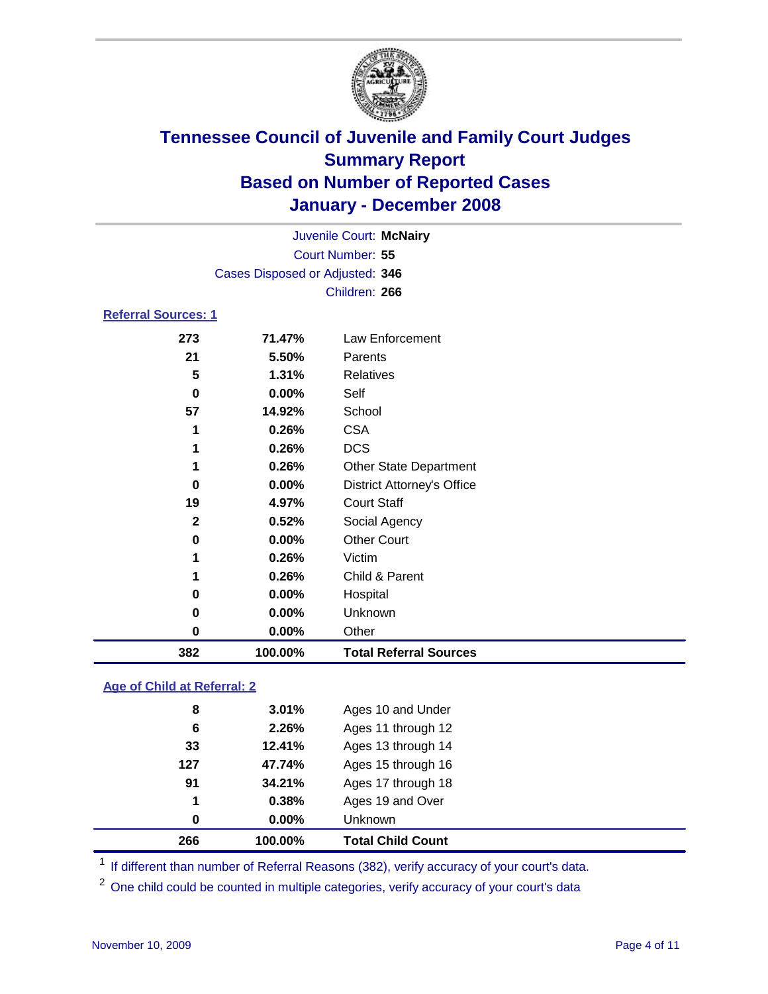

|                                 |          | Juvenile Court: McNairy           |  |  |  |  |
|---------------------------------|----------|-----------------------------------|--|--|--|--|
| Court Number: 55                |          |                                   |  |  |  |  |
| Cases Disposed or Adjusted: 346 |          |                                   |  |  |  |  |
|                                 |          | Children: 266                     |  |  |  |  |
| <b>Referral Sources: 1</b>      |          |                                   |  |  |  |  |
| 273                             | 71.47%   | Law Enforcement                   |  |  |  |  |
| 21                              | 5.50%    | Parents                           |  |  |  |  |
| 5                               | 1.31%    | <b>Relatives</b>                  |  |  |  |  |
| 0                               | $0.00\%$ | Self                              |  |  |  |  |
| 57                              | 14.92%   | School                            |  |  |  |  |
| 1                               | 0.26%    | <b>CSA</b>                        |  |  |  |  |
| 1                               | 0.26%    | <b>DCS</b>                        |  |  |  |  |
| 1                               | 0.26%    | <b>Other State Department</b>     |  |  |  |  |
| 0                               | $0.00\%$ | <b>District Attorney's Office</b> |  |  |  |  |

**4.97%** Court Staff

| 382 | 100.00% |                                | <b>Total Referral Sources</b> |
|-----|---------|--------------------------------|-------------------------------|
|     | 0       | $0.00\%$<br>Other              |                               |
|     | 0       | Unknown<br>$0.00\%$            |                               |
|     | 0       | $0.00\%$<br>Hospital           |                               |
|     | 1       | 0.26%                          | Child & Parent                |
|     | 1       | Victim<br>0.26%                |                               |
|     | 0       | <b>Other Court</b><br>$0.00\%$ |                               |
|     | 2       | 0.52%<br>Social Agency         |                               |

### **Age of Child at Referral: 2**

| 266 | 100.00%  | <b>Total Child Count</b> |  |
|-----|----------|--------------------------|--|
| 0   | $0.00\%$ | <b>Unknown</b>           |  |
| 1   | 0.38%    | Ages 19 and Over         |  |
| 91  | 34.21%   | Ages 17 through 18       |  |
| 127 | 47.74%   | Ages 15 through 16       |  |
| 33  | 12.41%   | Ages 13 through 14       |  |
| 6   | 2.26%    | Ages 11 through 12       |  |
| 8   | 3.01%    | Ages 10 and Under        |  |
|     |          |                          |  |

<sup>1</sup> If different than number of Referral Reasons (382), verify accuracy of your court's data.

One child could be counted in multiple categories, verify accuracy of your court's data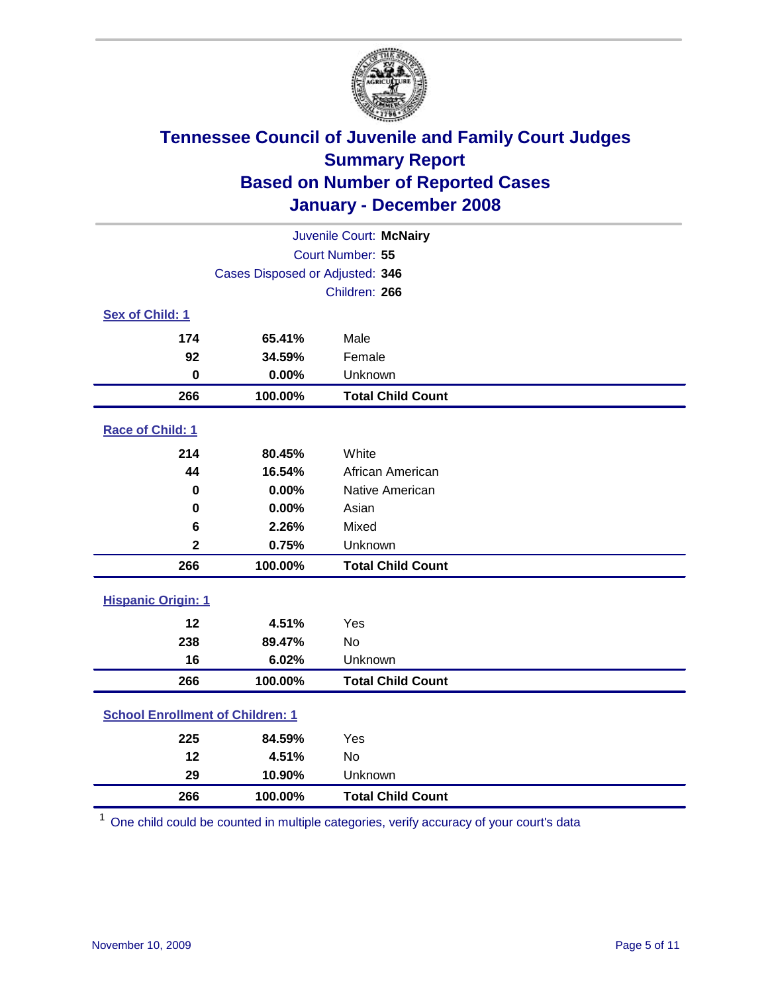

| Juvenile Court: McNairy                 |                                 |                          |  |  |  |  |
|-----------------------------------------|---------------------------------|--------------------------|--|--|--|--|
| Court Number: 55                        |                                 |                          |  |  |  |  |
|                                         | Cases Disposed or Adjusted: 346 |                          |  |  |  |  |
|                                         |                                 | Children: 266            |  |  |  |  |
| Sex of Child: 1                         |                                 |                          |  |  |  |  |
| 174                                     | 65.41%                          | Male                     |  |  |  |  |
| 92                                      | 34.59%                          | Female                   |  |  |  |  |
| $\bf{0}$                                | 0.00%                           | Unknown                  |  |  |  |  |
| 266                                     | 100.00%                         | <b>Total Child Count</b> |  |  |  |  |
| Race of Child: 1                        |                                 |                          |  |  |  |  |
| 214                                     | 80.45%                          | White                    |  |  |  |  |
| 44                                      | 16.54%                          | African American         |  |  |  |  |
| 0                                       | 0.00%                           | Native American          |  |  |  |  |
| $\bf{0}$                                | 0.00%                           | Asian                    |  |  |  |  |
| 6                                       | 2.26%                           | Mixed                    |  |  |  |  |
| $\mathbf 2$                             | 0.75%                           | Unknown                  |  |  |  |  |
| 266                                     | 100.00%                         | <b>Total Child Count</b> |  |  |  |  |
| <b>Hispanic Origin: 1</b>               |                                 |                          |  |  |  |  |
| 12                                      | 4.51%                           | Yes                      |  |  |  |  |
| 238                                     | 89.47%                          | <b>No</b>                |  |  |  |  |
| 16                                      | 6.02%                           | Unknown                  |  |  |  |  |
| 266                                     | 100.00%                         | <b>Total Child Count</b> |  |  |  |  |
| <b>School Enrollment of Children: 1</b> |                                 |                          |  |  |  |  |
| 225                                     | 84.59%                          | Yes                      |  |  |  |  |
| 12                                      | 4.51%                           | No                       |  |  |  |  |
| 29                                      | 10.90%                          | Unknown                  |  |  |  |  |
| 266                                     | 100.00%                         | <b>Total Child Count</b> |  |  |  |  |

One child could be counted in multiple categories, verify accuracy of your court's data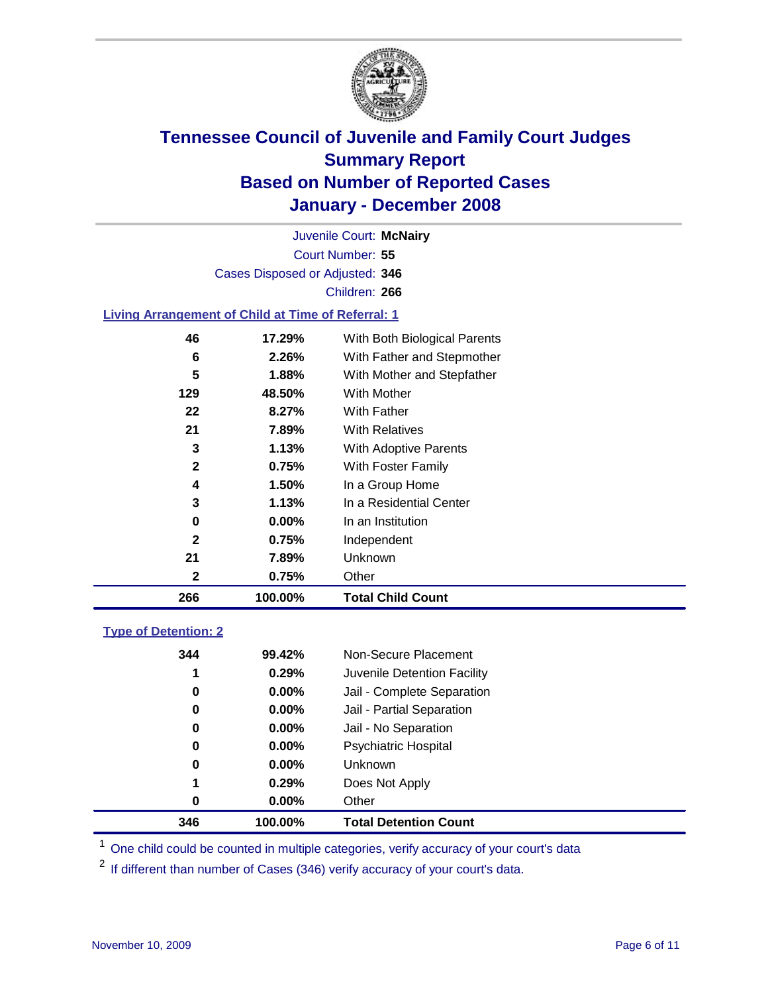

Court Number: **55** Juvenile Court: **McNairy** Cases Disposed or Adjusted: **346** Children: **266**

#### **Living Arrangement of Child at Time of Referral: 1**

| 266          | 100.00% | <b>Total Child Count</b>     |
|--------------|---------|------------------------------|
| 2            | 0.75%   | Other                        |
| 21           | 7.89%   | Unknown                      |
| 2            | 0.75%   | Independent                  |
| 0            | 0.00%   | In an Institution            |
| 3            | 1.13%   | In a Residential Center      |
| 4            | 1.50%   | In a Group Home              |
| $\mathbf{2}$ | 0.75%   | With Foster Family           |
| 3            | 1.13%   | With Adoptive Parents        |
| 21           | 7.89%   | <b>With Relatives</b>        |
| 22           | 8.27%   | <b>With Father</b>           |
| 129          | 48.50%  | With Mother                  |
| 5            | 1.88%   | With Mother and Stepfather   |
| 6            | 2.26%   | With Father and Stepmother   |
| 46           | 17.29%  | With Both Biological Parents |

#### **Type of Detention: 2**

| 346 | 100.00% | <b>Total Detention Count</b> |
|-----|---------|------------------------------|
| 0   | 0.00%   | Other                        |
| 1   | 0.29%   | Does Not Apply               |
| 0   | 0.00%   | Unknown                      |
| 0   | 0.00%   | <b>Psychiatric Hospital</b>  |
| 0   | 0.00%   | Jail - No Separation         |
| 0   | 0.00%   | Jail - Partial Separation    |
| 0   | 0.00%   | Jail - Complete Separation   |
| 1   | 0.29%   | Juvenile Detention Facility  |
| 344 | 99.42%  | Non-Secure Placement         |
|     |         |                              |

<sup>1</sup> One child could be counted in multiple categories, verify accuracy of your court's data

<sup>2</sup> If different than number of Cases (346) verify accuracy of your court's data.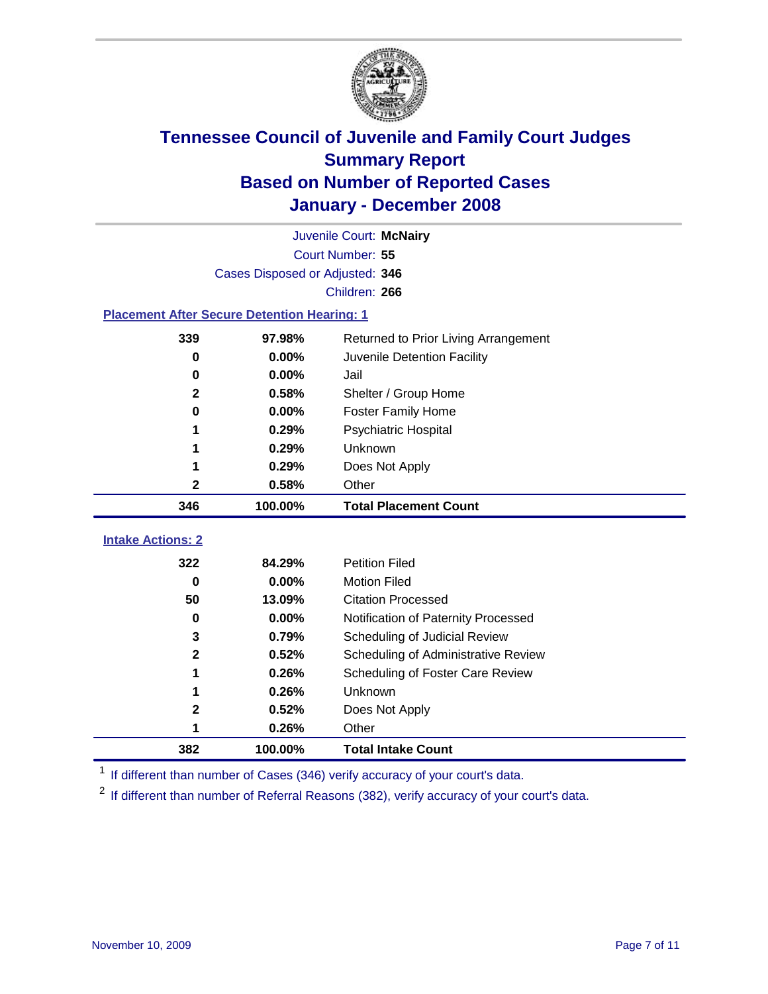

|                                                    |                                 | Juvenile Court: McNairy              |  |  |  |  |
|----------------------------------------------------|---------------------------------|--------------------------------------|--|--|--|--|
|                                                    |                                 | Court Number: 55                     |  |  |  |  |
|                                                    | Cases Disposed or Adjusted: 346 |                                      |  |  |  |  |
|                                                    |                                 | Children: 266                        |  |  |  |  |
| <b>Placement After Secure Detention Hearing: 1</b> |                                 |                                      |  |  |  |  |
| 339                                                | 97.98%                          | Returned to Prior Living Arrangement |  |  |  |  |
| 0                                                  | 0.00%                           | Juvenile Detention Facility          |  |  |  |  |
| $\bf{0}$                                           | 0.00%                           | Jail                                 |  |  |  |  |
| $\mathbf{2}$                                       | 0.58%                           | Shelter / Group Home                 |  |  |  |  |
| 0                                                  | 0.00%                           | <b>Foster Family Home</b>            |  |  |  |  |
| 1                                                  | 0.29%                           | Psychiatric Hospital                 |  |  |  |  |
|                                                    | 0.29%                           | Unknown                              |  |  |  |  |
|                                                    | 0.29%                           | Does Not Apply                       |  |  |  |  |
| $\mathbf 2$                                        | 0.58%                           | Other                                |  |  |  |  |
| 346                                                | 100.00%                         | <b>Total Placement Count</b>         |  |  |  |  |
| <b>Intake Actions: 2</b>                           |                                 |                                      |  |  |  |  |
| 322                                                | 84.29%                          | <b>Petition Filed</b>                |  |  |  |  |
| $\bf{0}$                                           | 0.00%                           | <b>Motion Filed</b>                  |  |  |  |  |
| 50                                                 | 13.09%                          | <b>Citation Processed</b>            |  |  |  |  |
| 0                                                  | 0.00%                           | Notification of Paternity Processed  |  |  |  |  |
| 3                                                  | 0.79%                           | Scheduling of Judicial Review        |  |  |  |  |
| $\mathbf 2$                                        | 0.52%                           | Scheduling of Administrative Review  |  |  |  |  |
| 1                                                  | 0.26%                           | Scheduling of Foster Care Review     |  |  |  |  |
|                                                    | 0.26%                           | Unknown                              |  |  |  |  |
| 2                                                  | 0.52%                           | Does Not Apply                       |  |  |  |  |
| 1                                                  | 0.26%                           | Other                                |  |  |  |  |
| 382                                                | 100.00%                         | <b>Total Intake Count</b>            |  |  |  |  |

<sup>1</sup> If different than number of Cases (346) verify accuracy of your court's data.

<sup>2</sup> If different than number of Referral Reasons (382), verify accuracy of your court's data.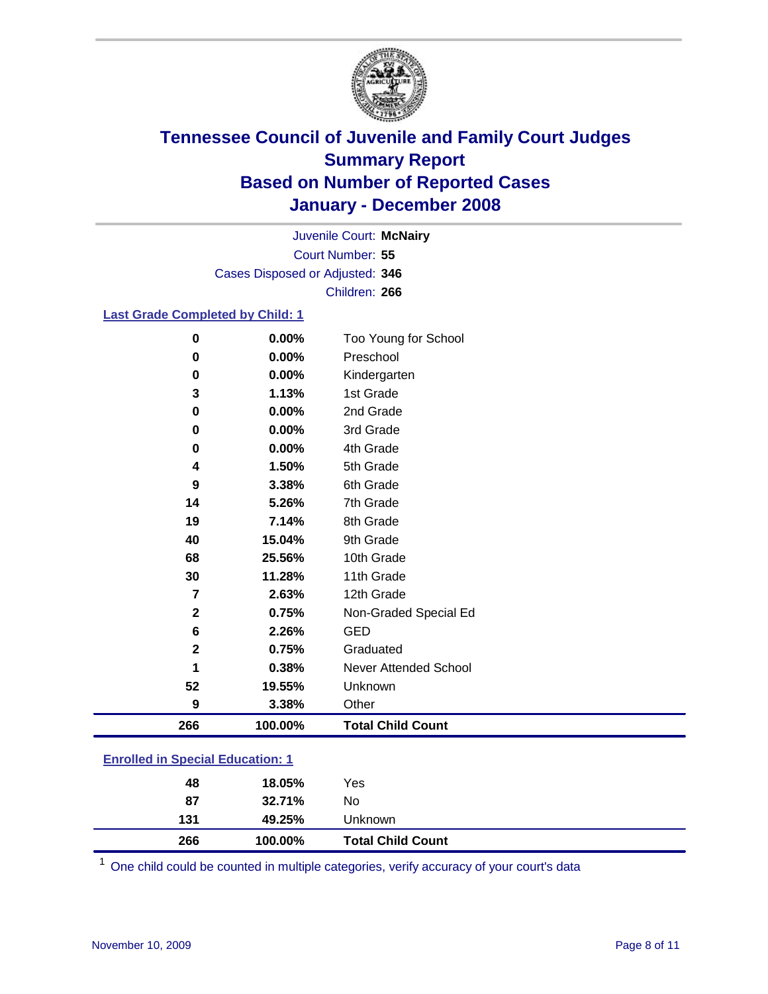

Court Number: **55** Juvenile Court: **McNairy** Cases Disposed or Adjusted: **346** Children: **266**

#### **Last Grade Completed by Child: 1**

| 266          | 100.00% | <b>Total Child Count</b> |
|--------------|---------|--------------------------|
| 9            | 3.38%   | Other                    |
| 52           | 19.55%  | Unknown                  |
|              | 0.38%   | Never Attended School    |
| $\mathbf 2$  | 0.75%   | Graduated                |
| 6            | 2.26%   | <b>GED</b>               |
| $\mathbf{2}$ | 0.75%   | Non-Graded Special Ed    |
| 7            | 2.63%   | 12th Grade               |
| 30           | 11.28%  | 11th Grade               |
| 68           | 25.56%  | 10th Grade               |
| 40           | 15.04%  | 9th Grade                |
| 19           | 7.14%   | 8th Grade                |
| 14           | 5.26%   | 7th Grade                |
| 9            | 3.38%   | 6th Grade                |
| 4            | 1.50%   | 5th Grade                |
| 0            | 0.00%   | 4th Grade                |
| 0            | 0.00%   | 3rd Grade                |
| 0            | 0.00%   | 2nd Grade                |
| 3            | 1.13%   | 1st Grade                |
| 0            | 0.00%   | Kindergarten             |
| 0            | 0.00%   | Preschool                |
| $\bf{0}$     | 0.00%   | Too Young for School     |

### **Enrolled in Special Education: 1**

| 266 | 100.00% | <b>Total Child Count</b> |  |
|-----|---------|--------------------------|--|
| 131 | 49.25%  | Unknown                  |  |
| 87  | 32.71%  | No                       |  |
| 48  | 18.05%  | Yes                      |  |

<sup>1</sup> One child could be counted in multiple categories, verify accuracy of your court's data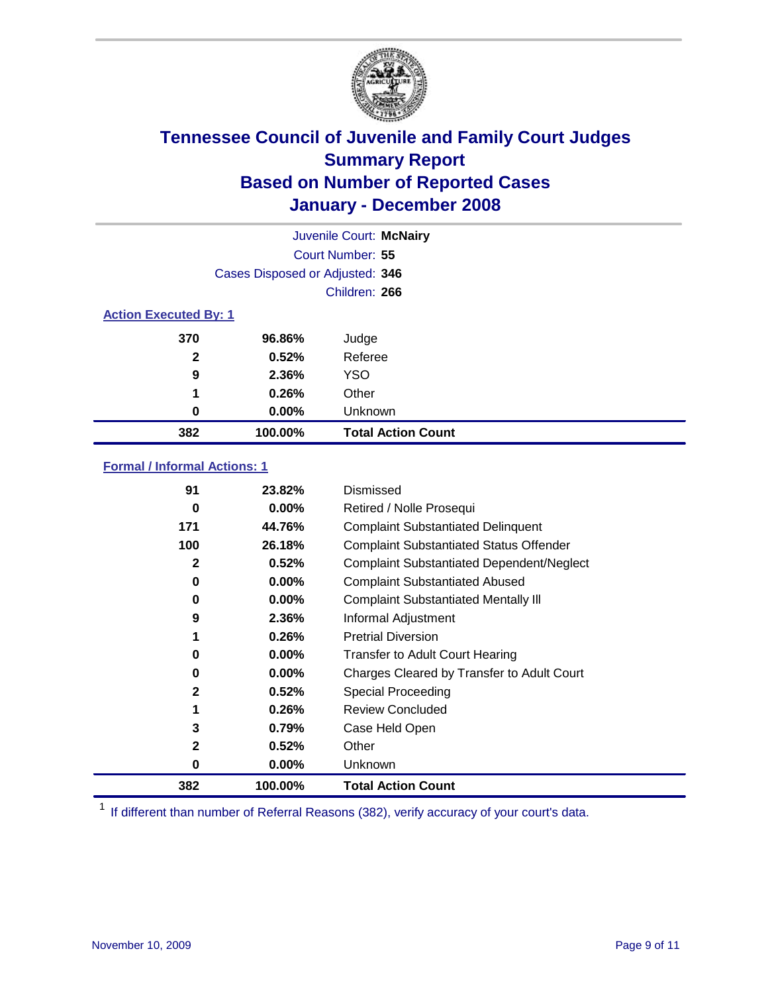

|                              |                                 | Juvenile Court: McNairy   |  |  |
|------------------------------|---------------------------------|---------------------------|--|--|
| Court Number: 55             |                                 |                           |  |  |
|                              | Cases Disposed or Adjusted: 346 |                           |  |  |
|                              |                                 | Children: 266             |  |  |
| <b>Action Executed By: 1</b> |                                 |                           |  |  |
| 370                          | 96.86%                          | Judge                     |  |  |
| $\mathbf{2}$                 | 0.52%                           | Referee                   |  |  |
| 9                            | 2.36%                           | <b>YSO</b>                |  |  |
| 1                            | 0.26%                           | Other                     |  |  |
| 0                            | $0.00\%$                        | Unknown                   |  |  |
| 382                          | 100.00%                         | <b>Total Action Count</b> |  |  |

### **Formal / Informal Actions: 1**

| 91           | 23.82%   | Dismissed                                        |
|--------------|----------|--------------------------------------------------|
| 0            | $0.00\%$ | Retired / Nolle Prosequi                         |
| 171          | 44.76%   | <b>Complaint Substantiated Delinquent</b>        |
| 100          | 26.18%   | <b>Complaint Substantiated Status Offender</b>   |
| 2            | 0.52%    | <b>Complaint Substantiated Dependent/Neglect</b> |
| 0            | 0.00%    | <b>Complaint Substantiated Abused</b>            |
| 0            | $0.00\%$ | <b>Complaint Substantiated Mentally III</b>      |
| 9            | 2.36%    | Informal Adjustment                              |
| 1            | 0.26%    | <b>Pretrial Diversion</b>                        |
| 0            | $0.00\%$ | <b>Transfer to Adult Court Hearing</b>           |
| 0            | $0.00\%$ | Charges Cleared by Transfer to Adult Court       |
| 2            | 0.52%    | Special Proceeding                               |
| 1            | 0.26%    | <b>Review Concluded</b>                          |
| 3            | 0.79%    | Case Held Open                                   |
| $\mathbf{2}$ | 0.52%    | Other                                            |
| 0            | $0.00\%$ | Unknown                                          |
| 382          | 100.00%  | <b>Total Action Count</b>                        |

<sup>1</sup> If different than number of Referral Reasons (382), verify accuracy of your court's data.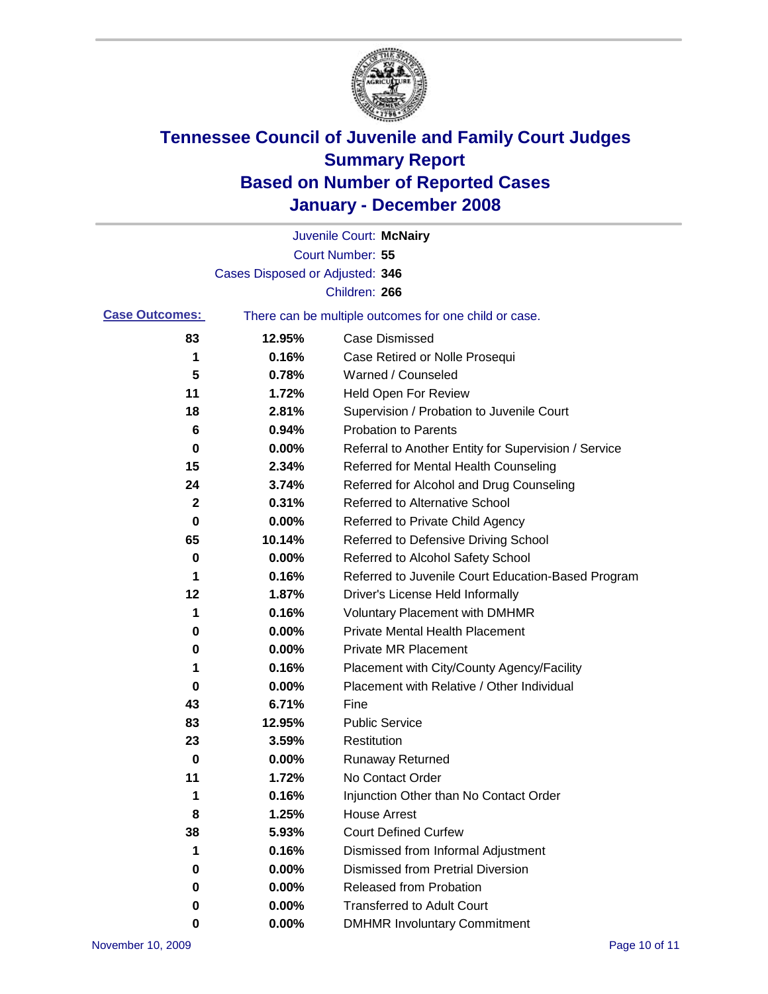

|                       |                                 | Juvenile Court: McNairy                               |
|-----------------------|---------------------------------|-------------------------------------------------------|
|                       |                                 | Court Number: 55                                      |
|                       | Cases Disposed or Adjusted: 346 |                                                       |
|                       |                                 | Children: 266                                         |
| <b>Case Outcomes:</b> |                                 | There can be multiple outcomes for one child or case. |
| 83                    | 12.95%                          | <b>Case Dismissed</b>                                 |
| 1                     | 0.16%                           | Case Retired or Nolle Prosequi                        |
| 5                     | 0.78%                           | Warned / Counseled                                    |
| 11                    | 1.72%                           | Held Open For Review                                  |
| 18                    | 2.81%                           | Supervision / Probation to Juvenile Court             |
| 6                     | 0.94%                           | <b>Probation to Parents</b>                           |
| 0                     | 0.00%                           | Referral to Another Entity for Supervision / Service  |
| 15                    | 2.34%                           | Referred for Mental Health Counseling                 |
| 24                    | 3.74%                           | Referred for Alcohol and Drug Counseling              |
| 2                     | 0.31%                           | <b>Referred to Alternative School</b>                 |
| 0                     | 0.00%                           | Referred to Private Child Agency                      |
| 65                    | 10.14%                          | Referred to Defensive Driving School                  |
| 0                     | 0.00%                           | Referred to Alcohol Safety School                     |
| 1                     | 0.16%                           | Referred to Juvenile Court Education-Based Program    |
| 12                    | 1.87%                           | Driver's License Held Informally                      |
| 1                     | 0.16%                           | <b>Voluntary Placement with DMHMR</b>                 |
| 0                     | 0.00%                           | <b>Private Mental Health Placement</b>                |
| 0                     | 0.00%                           | <b>Private MR Placement</b>                           |
| 1                     | 0.16%                           | Placement with City/County Agency/Facility            |
| 0                     | 0.00%                           | Placement with Relative / Other Individual            |
| 43                    | 6.71%                           | Fine                                                  |
| 83                    | 12.95%                          | <b>Public Service</b>                                 |
| 23                    | 3.59%                           | Restitution                                           |
| 0                     | 0.00%                           | <b>Runaway Returned</b>                               |
| 11                    | 1.72%                           | No Contact Order                                      |
| 1                     | 0.16%                           | Injunction Other than No Contact Order                |
| 8                     | 1.25%                           | <b>House Arrest</b>                                   |
| 38                    | 5.93%                           | <b>Court Defined Curfew</b>                           |
| 1                     | 0.16%                           | Dismissed from Informal Adjustment                    |
| 0                     | 0.00%                           | <b>Dismissed from Pretrial Diversion</b>              |
| 0                     | 0.00%                           | <b>Released from Probation</b>                        |
| 0                     | 0.00%                           | <b>Transferred to Adult Court</b>                     |
| 0                     | 0.00%                           | <b>DMHMR Involuntary Commitment</b>                   |